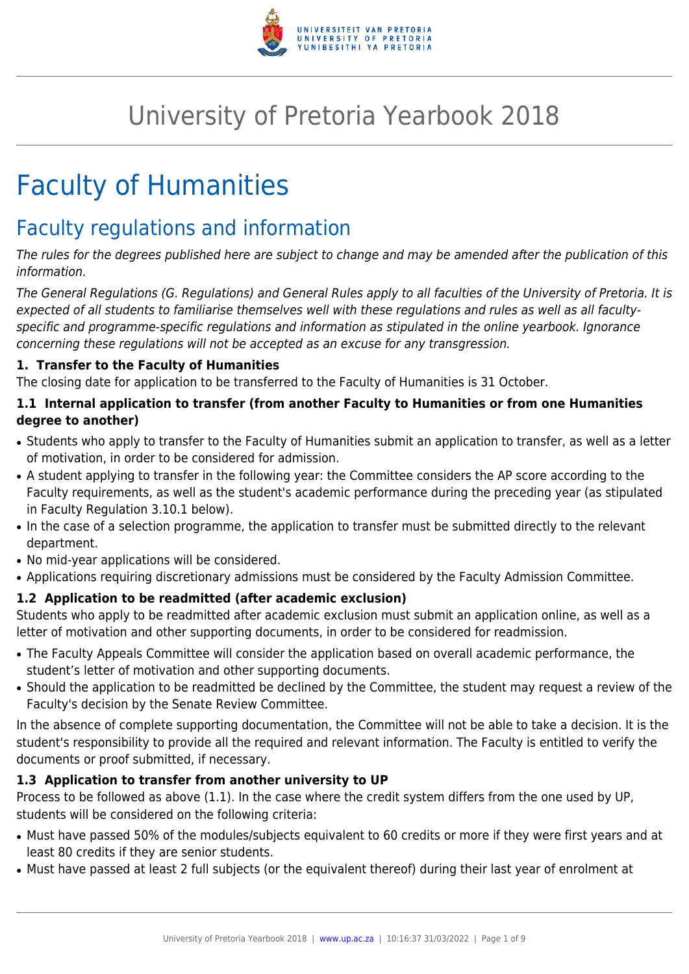

# University of Pretoria Yearbook 2018

# Faculty of Humanities

# Faculty regulations and information

The rules for the degrees published here are subject to change and may be amended after the publication of this information.

The General Regulations (G. Regulations) and General Rules apply to all faculties of the University of Pretoria. It is expected of all students to familiarise themselves well with these regulations and rules as well as all facultyspecific and programme-specific regulations and information as stipulated in the online yearbook. Ignorance concerning these regulations will not be accepted as an excuse for any transgression.

# **1. Transfer to the Faculty of Humanities**

The closing date for application to be transferred to the Faculty of Humanities is 31 October.

# **1.1 Internal application to transfer (from another Faculty to Humanities or from one Humanities degree to another)**

- Students who apply to transfer to the Faculty of Humanities submit an application to transfer, as well as a letter of motivation, in order to be considered for admission.
- A student applying to transfer in the following year: the Committee considers the AP score according to the Faculty requirements, as well as the student's academic performance during the preceding year (as stipulated in Faculty Regulation 3.10.1 below).
- In the case of a selection programme, the application to transfer must be submitted directly to the relevant department.
- No mid-year applications will be considered.
- Applications requiring discretionary admissions must be considered by the Faculty Admission Committee.

# **1.2 Application to be readmitted (after academic exclusion)**

Students who apply to be readmitted after academic exclusion must submit an application online, as well as a letter of motivation and other supporting documents, in order to be considered for readmission.

- The Faculty Appeals Committee will consider the application based on overall academic performance, the student's letter of motivation and other supporting documents.
- Should the application to be readmitted be declined by the Committee, the student may request a review of the Faculty's decision by the Senate Review Committee.

In the absence of complete supporting documentation, the Committee will not be able to take a decision. It is the student's responsibility to provide all the required and relevant information. The Faculty is entitled to verify the documents or proof submitted, if necessary.

# **1.3 Application to transfer from another university to UP**

Process to be followed as above (1.1). In the case where the credit system differs from the one used by UP, students will be considered on the following criteria:

- Must have passed 50% of the modules/subjects equivalent to 60 credits or more if they were first years and at least 80 credits if they are senior students.
- Must have passed at least 2 full subjects (or the equivalent thereof) during their last year of enrolment at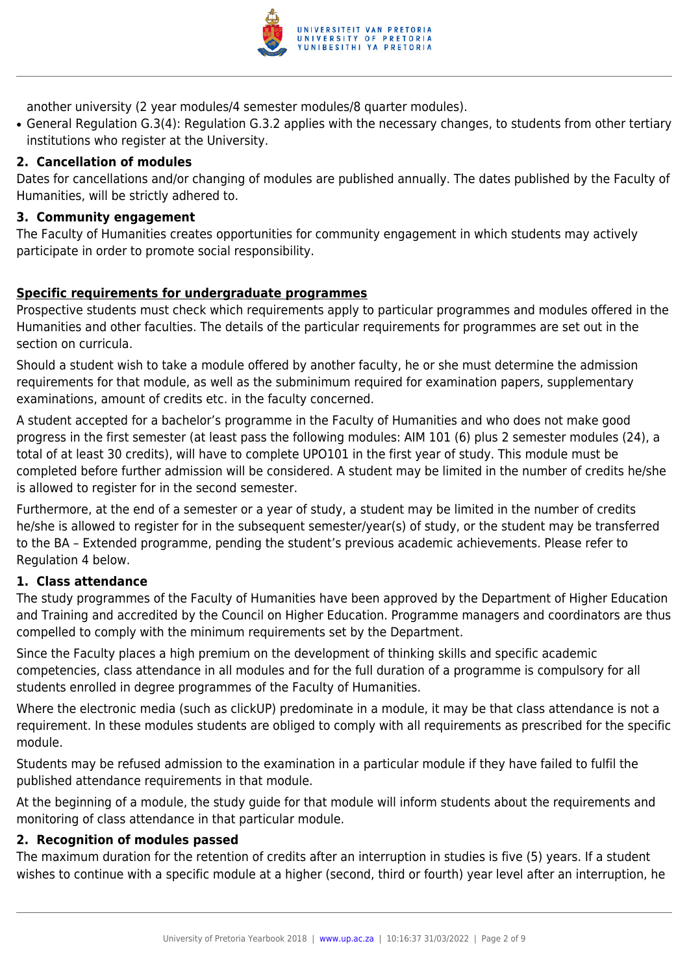

another university (2 year modules/4 semester modules/8 quarter modules).

• General Regulation G.3(4): Regulation G.3.2 applies with the necessary changes, to students from other tertiary institutions who register at the University.

#### **2. Cancellation of modules**

Dates for cancellations and/or changing of modules are published annually. The dates published by the Faculty of Humanities, will be strictly adhered to.

#### **3. Community engagement**

The Faculty of Humanities creates opportunities for community engagement in which students may actively participate in order to promote social responsibility.

#### **Specific requirements for undergraduate programmes**

Prospective students must check which requirements apply to particular programmes and modules offered in the Humanities and other faculties. The details of the particular requirements for programmes are set out in the section on curricula.

Should a student wish to take a module offered by another faculty, he or she must determine the admission requirements for that module, as well as the subminimum required for examination papers, supplementary examinations, amount of credits etc. in the faculty concerned.

A student accepted for a bachelor's programme in the Faculty of Humanities and who does not make good progress in the first semester (at least pass the following modules: AIM 101 (6) plus 2 semester modules (24), a total of at least 30 credits), will have to complete UPO101 in the first year of study. This module must be completed before further admission will be considered. A student may be limited in the number of credits he/she is allowed to register for in the second semester.

Furthermore, at the end of a semester or a year of study, a student may be limited in the number of credits he/she is allowed to register for in the subsequent semester/year(s) of study, or the student may be transferred to the BA – Extended programme, pending the student's previous academic achievements. Please refer to Regulation 4 below.

#### **1. Class attendance**

The study programmes of the Faculty of Humanities have been approved by the Department of Higher Education and Training and accredited by the Council on Higher Education. Programme managers and coordinators are thus compelled to comply with the minimum requirements set by the Department.

Since the Faculty places a high premium on the development of thinking skills and specific academic competencies, class attendance in all modules and for the full duration of a programme is compulsory for all students enrolled in degree programmes of the Faculty of Humanities.

Where the electronic media (such as clickUP) predominate in a module, it may be that class attendance is not a requirement. In these modules students are obliged to comply with all requirements as prescribed for the specific module.

Students may be refused admission to the examination in a particular module if they have failed to fulfil the published attendance requirements in that module.

At the beginning of a module, the study guide for that module will inform students about the requirements and monitoring of class attendance in that particular module.

#### **2. Recognition of modules passed**

The maximum duration for the retention of credits after an interruption in studies is five (5) years. If a student wishes to continue with a specific module at a higher (second, third or fourth) year level after an interruption, he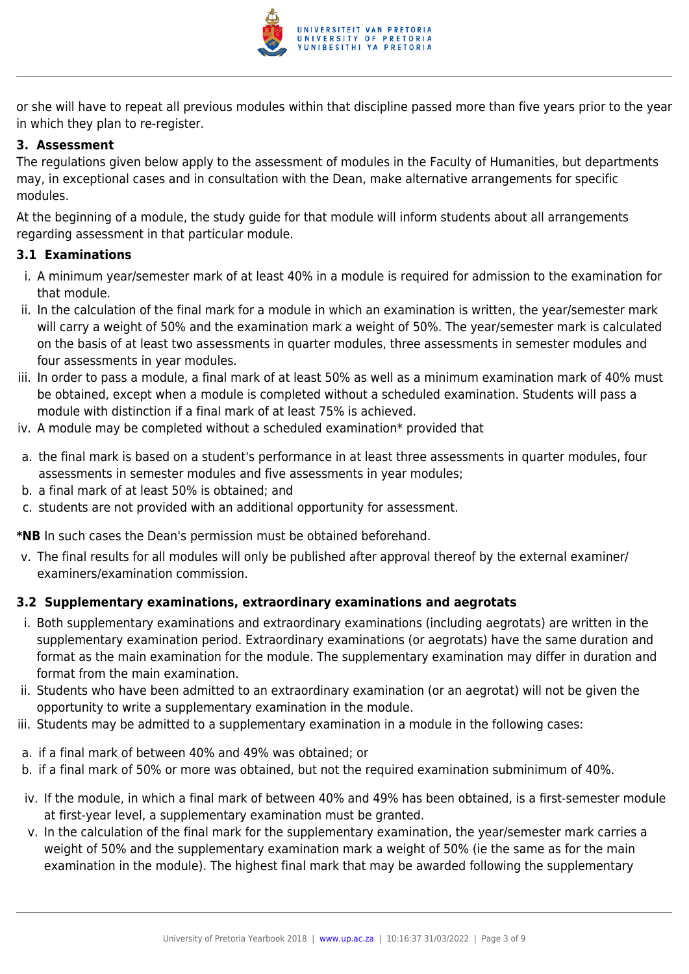

or she will have to repeat all previous modules within that discipline passed more than five years prior to the year in which they plan to re-register.

#### **3. Assessment**

The regulations given below apply to the assessment of modules in the Faculty of Humanities, but departments may, in exceptional cases and in consultation with the Dean, make alternative arrangements for specific modules.

At the beginning of a module, the study guide for that module will inform students about all arrangements regarding assessment in that particular module.

#### **3.1 Examinations**

- i. A minimum year/semester mark of at least 40% in a module is required for admission to the examination for that module.
- ii. In the calculation of the final mark for a module in which an examination is written, the year/semester mark will carry a weight of 50% and the examination mark a weight of 50%. The year/semester mark is calculated on the basis of at least two assessments in quarter modules, three assessments in semester modules and four assessments in year modules.
- iii. In order to pass a module, a final mark of at least 50% as well as a minimum examination mark of 40% must be obtained, except when a module is completed without a scheduled examination. Students will pass a module with distinction if a final mark of at least 75% is achieved.
- iv. A module may be completed without a scheduled examination\* provided that
- a. the final mark is based on a student's performance in at least three assessments in quarter modules, four assessments in semester modules and five assessments in year modules;
- b. a final mark of at least 50% is obtained; and
- c. students are not provided with an additional opportunity for assessment.

**\*NB** In such cases the Dean's permission must be obtained beforehand.

v. The final results for all modules will only be published after approval thereof by the external examiner/ examiners/examination commission.

# **3.2 Supplementary examinations, extraordinary examinations and aegrotats**

- i. Both supplementary examinations and extraordinary examinations (including aegrotats) are written in the supplementary examination period. Extraordinary examinations (or aegrotats) have the same duration and format as the main examination for the module. The supplementary examination may differ in duration and format from the main examination.
- ii. Students who have been admitted to an extraordinary examination (or an aegrotat) will not be given the opportunity to write a supplementary examination in the module.
- iii. Students may be admitted to a supplementary examination in a module in the following cases:
- a. if a final mark of between 40% and 49% was obtained; or
- b. if a final mark of 50% or more was obtained, but not the required examination subminimum of 40%.
- iv. If the module, in which a final mark of between 40% and 49% has been obtained, is a first-semester module at first-year level, a supplementary examination must be granted.
- v. In the calculation of the final mark for the supplementary examination, the year/semester mark carries a weight of 50% and the supplementary examination mark a weight of 50% (ie the same as for the main examination in the module). The highest final mark that may be awarded following the supplementary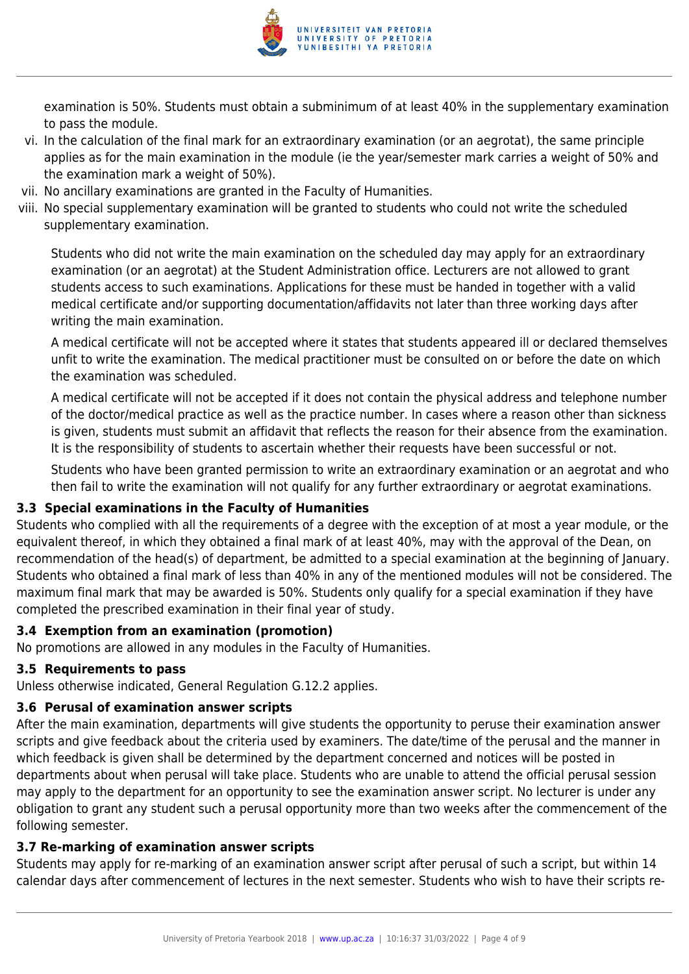

examination is 50%. Students must obtain a subminimum of at least 40% in the supplementary examination to pass the module.

- vi. In the calculation of the final mark for an extraordinary examination (or an aegrotat), the same principle applies as for the main examination in the module (ie the year/semester mark carries a weight of 50% and the examination mark a weight of 50%).
- vii. No ancillary examinations are granted in the Faculty of Humanities.
- viii. No special supplementary examination will be granted to students who could not write the scheduled supplementary examination.

Students who did not write the main examination on the scheduled day may apply for an extraordinary examination (or an aegrotat) at the Student Administration office. Lecturers are not allowed to grant students access to such examinations. Applications for these must be handed in together with a valid medical certificate and/or supporting documentation/affidavits not later than three working days after writing the main examination.

A medical certificate will not be accepted where it states that students appeared ill or declared themselves unfit to write the examination. The medical practitioner must be consulted on or before the date on which the examination was scheduled.

A medical certificate will not be accepted if it does not contain the physical address and telephone number of the doctor/medical practice as well as the practice number. In cases where a reason other than sickness is given, students must submit an affidavit that reflects the reason for their absence from the examination. It is the responsibility of students to ascertain whether their requests have been successful or not.

Students who have been granted permission to write an extraordinary examination or an aegrotat and who then fail to write the examination will not qualify for any further extraordinary or aegrotat examinations.

# **3.3 Special examinations in the Faculty of Humanities**

Students who complied with all the requirements of a degree with the exception of at most a year module, or the equivalent thereof, in which they obtained a final mark of at least 40%, may with the approval of the Dean, on recommendation of the head(s) of department, be admitted to a special examination at the beginning of January. Students who obtained a final mark of less than 40% in any of the mentioned modules will not be considered. The maximum final mark that may be awarded is 50%. Students only qualify for a special examination if they have completed the prescribed examination in their final year of study.

#### **3.4 Exemption from an examination (promotion)**

No promotions are allowed in any modules in the Faculty of Humanities.

#### **3.5 Requirements to pass**

Unless otherwise indicated, General Regulation G.12.2 applies.

#### **3.6 Perusal of examination answer scripts**

After the main examination, departments will give students the opportunity to peruse their examination answer scripts and give feedback about the criteria used by examiners. The date/time of the perusal and the manner in which feedback is given shall be determined by the department concerned and notices will be posted in departments about when perusal will take place. Students who are unable to attend the official perusal session may apply to the department for an opportunity to see the examination answer script. No lecturer is under any obligation to grant any student such a perusal opportunity more than two weeks after the commencement of the following semester.

#### **3.7 Re-marking of examination answer scripts**

Students may apply for re-marking of an examination answer script after perusal of such a script, but within 14 calendar days after commencement of lectures in the next semester. Students who wish to have their scripts re-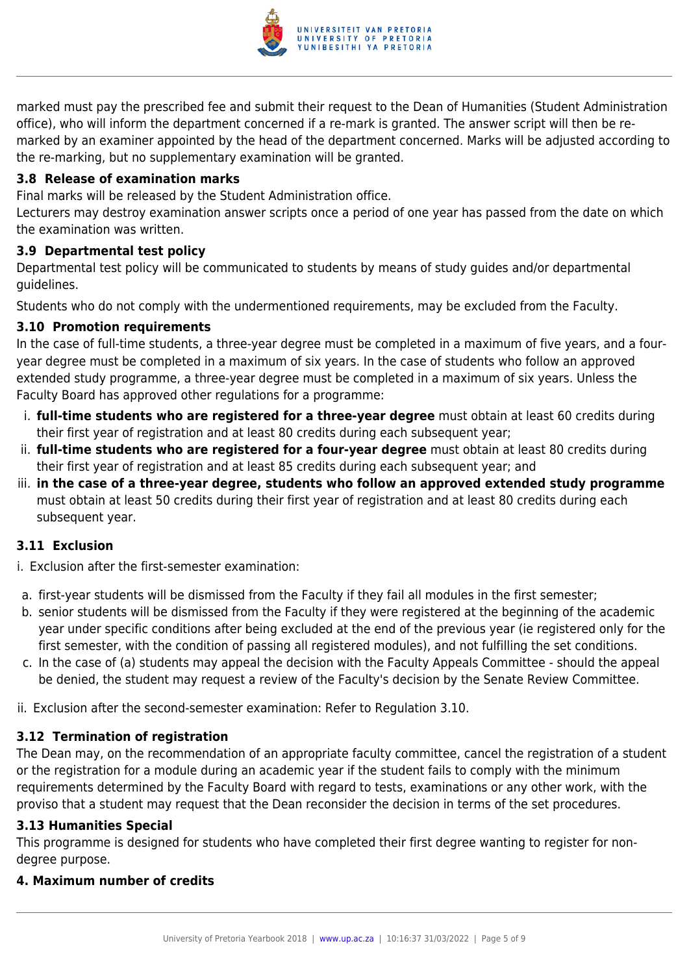

marked must pay the prescribed fee and submit their request to the Dean of Humanities (Student Administration office), who will inform the department concerned if a re-mark is granted. The answer script will then be remarked by an examiner appointed by the head of the department concerned. Marks will be adjusted according to the re-marking, but no supplementary examination will be granted.

#### **3.8 Release of examination marks**

Final marks will be released by the Student Administration office.

Lecturers may destroy examination answer scripts once a period of one year has passed from the date on which the examination was written.

#### **3.9 Departmental test policy**

Departmental test policy will be communicated to students by means of study guides and/or departmental guidelines.

Students who do not comply with the undermentioned requirements, may be excluded from the Faculty.

# **3.10 Promotion requirements**

In the case of full-time students, a three-year degree must be completed in a maximum of five years, and a fouryear degree must be completed in a maximum of six years. In the case of students who follow an approved extended study programme, a three-year degree must be completed in a maximum of six years. Unless the Faculty Board has approved other regulations for a programme:

- i. **full-time students who are registered for a three-year degree** must obtain at least 60 credits during their first year of registration and at least 80 credits during each subsequent year;
- ii. **full-time students who are registered for a four-year degree** must obtain at least 80 credits during their first year of registration and at least 85 credits during each subsequent year; and
- iii. **in the case of a three-year degree, students who follow an approved extended study programme** must obtain at least 50 credits during their first year of registration and at least 80 credits during each subsequent year.

# **3.11 Exclusion**

- i. Exclusion after the first-semester examination:
- a. first-year students will be dismissed from the Faculty if they fail all modules in the first semester;
- b. senior students will be dismissed from the Faculty if they were registered at the beginning of the academic year under specific conditions after being excluded at the end of the previous year (ie registered only for the first semester, with the condition of passing all registered modules), and not fulfilling the set conditions.
- c. In the case of (a) students may appeal the decision with the Faculty Appeals Committee should the appeal be denied, the student may request a review of the Faculty's decision by the Senate Review Committee.
- ii. Exclusion after the second-semester examination: Refer to Regulation 3.10.

# **3.12 Termination of registration**

The Dean may, on the recommendation of an appropriate faculty committee, cancel the registration of a student or the registration for a module during an academic year if the student fails to comply with the minimum requirements determined by the Faculty Board with regard to tests, examinations or any other work, with the proviso that a student may request that the Dean reconsider the decision in terms of the set procedures.

#### **3.13 Humanities Special**

This programme is designed for students who have completed their first degree wanting to register for nondegree purpose.

#### **4. Maximum number of credits**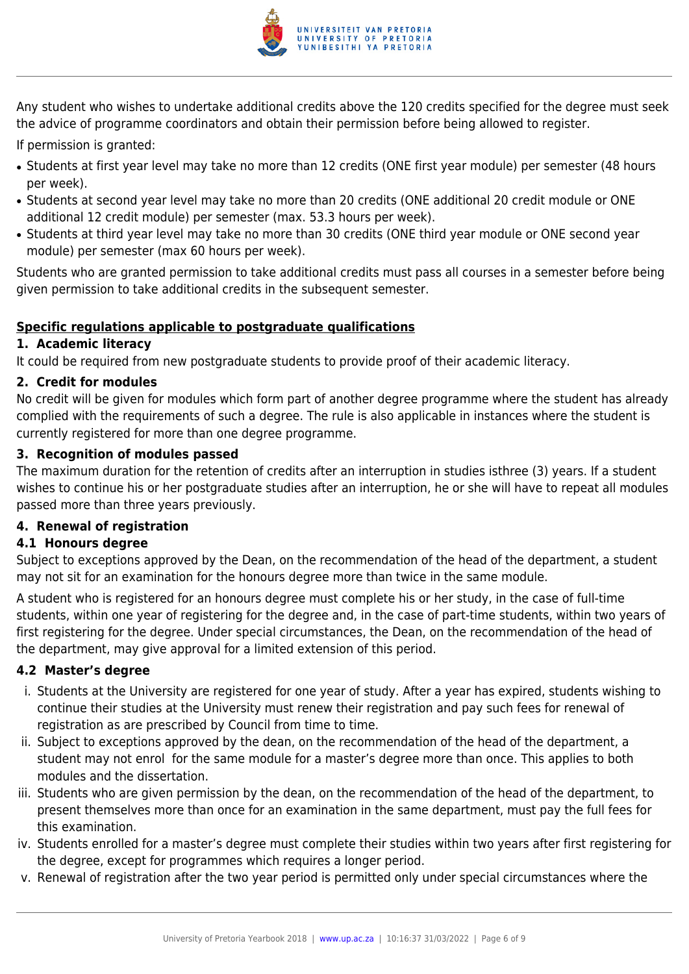

Any student who wishes to undertake additional credits above the 120 credits specified for the degree must seek the advice of programme coordinators and obtain their permission before being allowed to register.

If permission is granted:

- Students at first year level may take no more than 12 credits (ONE first year module) per semester (48 hours per week).
- Students at second year level may take no more than 20 credits (ONE additional 20 credit module or ONE additional 12 credit module) per semester (max. 53.3 hours per week).
- Students at third year level may take no more than 30 credits (ONE third year module or ONE second year module) per semester (max 60 hours per week).

Students who are granted permission to take additional credits must pass all courses in a semester before being given permission to take additional credits in the subsequent semester.

# **Specific regulations applicable to postgraduate qualifications**

#### **1. Academic literacy**

It could be required from new postgraduate students to provide proof of their academic literacy.

#### **2. Credit for modules**

No credit will be given for modules which form part of another degree programme where the student has already complied with the requirements of such a degree. The rule is also applicable in instances where the student is currently registered for more than one degree programme.

#### **3. Recognition of modules passed**

The maximum duration for the retention of credits after an interruption in studies isthree (3) years. If a student wishes to continue his or her postgraduate studies after an interruption, he or she will have to repeat all modules passed more than three years previously.

# **4. Renewal of registration**

# **4.1 Honours degree**

Subject to exceptions approved by the Dean, on the recommendation of the head of the department, a student may not sit for an examination for the honours degree more than twice in the same module.

A student who is registered for an honours degree must complete his or her study, in the case of full-time students, within one year of registering for the degree and, in the case of part-time students, within two years of first registering for the degree. Under special circumstances, the Dean, on the recommendation of the head of the department, may give approval for a limited extension of this period.

# **4.2 Master's degree**

- i. Students at the University are registered for one year of study. After a year has expired, students wishing to continue their studies at the University must renew their registration and pay such fees for renewal of registration as are prescribed by Council from time to time.
- ii. Subject to exceptions approved by the dean, on the recommendation of the head of the department, a student may not enrol for the same module for a master's degree more than once. This applies to both modules and the dissertation.
- iii. Students who are given permission by the dean, on the recommendation of the head of the department, to present themselves more than once for an examination in the same department, must pay the full fees for this examination.
- iv. Students enrolled for a master's degree must complete their studies within two years after first registering for the degree, except for programmes which requires a longer period.
- v. Renewal of registration after the two year period is permitted only under special circumstances where the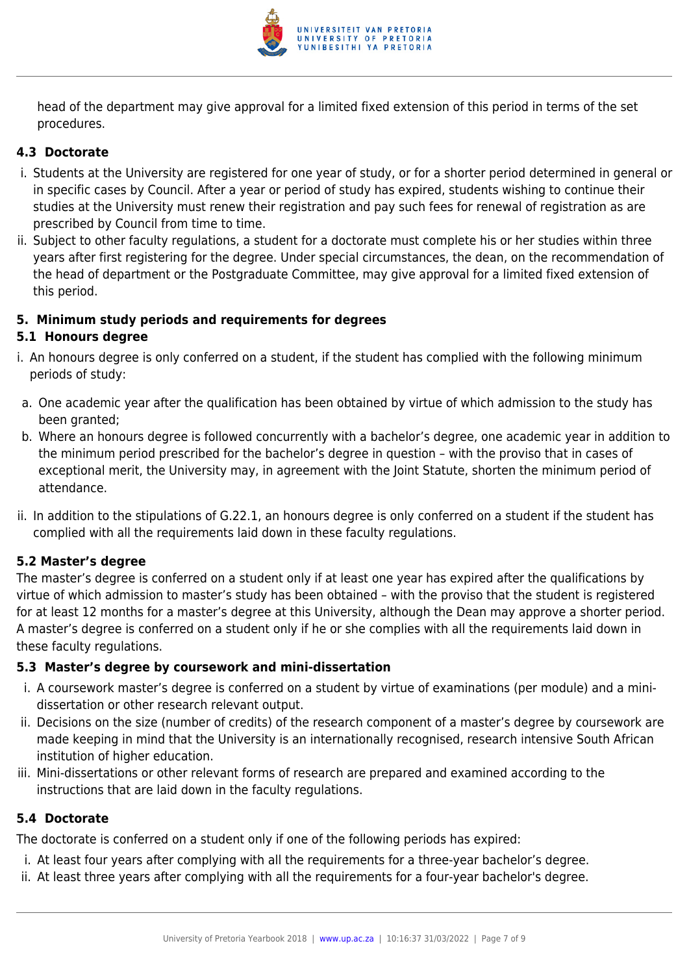

head of the department may give approval for a limited fixed extension of this period in terms of the set procedures.

# **4.3 Doctorate**

- i. Students at the University are registered for one year of study, or for a shorter period determined in general or in specific cases by Council. After a year or period of study has expired, students wishing to continue their studies at the University must renew their registration and pay such fees for renewal of registration as are prescribed by Council from time to time.
- ii. Subject to other faculty regulations, a student for a doctorate must complete his or her studies within three years after first registering for the degree. Under special circumstances, the dean, on the recommendation of the head of department or the Postgraduate Committee, may give approval for a limited fixed extension of this period.

#### **5. Minimum study periods and requirements for degrees**

#### **5.1 Honours degree**

- i. An honours degree is only conferred on a student, if the student has complied with the following minimum periods of study:
- a. One academic year after the qualification has been obtained by virtue of which admission to the study has been granted:
- b. Where an honours degree is followed concurrently with a bachelor's degree, one academic year in addition to the minimum period prescribed for the bachelor's degree in question – with the proviso that in cases of exceptional merit, the University may, in agreement with the Joint Statute, shorten the minimum period of attendance.
- ii. In addition to the stipulations of G.22.1, an honours degree is only conferred on a student if the student has complied with all the requirements laid down in these faculty regulations.

# **5.2 Master's degree**

The master's degree is conferred on a student only if at least one year has expired after the qualifications by virtue of which admission to master's study has been obtained – with the proviso that the student is registered for at least 12 months for a master's degree at this University, although the Dean may approve a shorter period. A master's degree is conferred on a student only if he or she complies with all the requirements laid down in these faculty regulations.

#### **5.3 Master's degree by coursework and mini-dissertation**

- i. A coursework master's degree is conferred on a student by virtue of examinations (per module) and a minidissertation or other research relevant output.
- ii. Decisions on the size (number of credits) of the research component of a master's degree by coursework are made keeping in mind that the University is an internationally recognised, research intensive South African institution of higher education.
- iii. Mini-dissertations or other relevant forms of research are prepared and examined according to the instructions that are laid down in the faculty regulations.

# **5.4 Doctorate**

The doctorate is conferred on a student only if one of the following periods has expired:

- i. At least four years after complying with all the requirements for a three-year bachelor's degree.
- ii. At least three years after complying with all the requirements for a four-year bachelor's degree.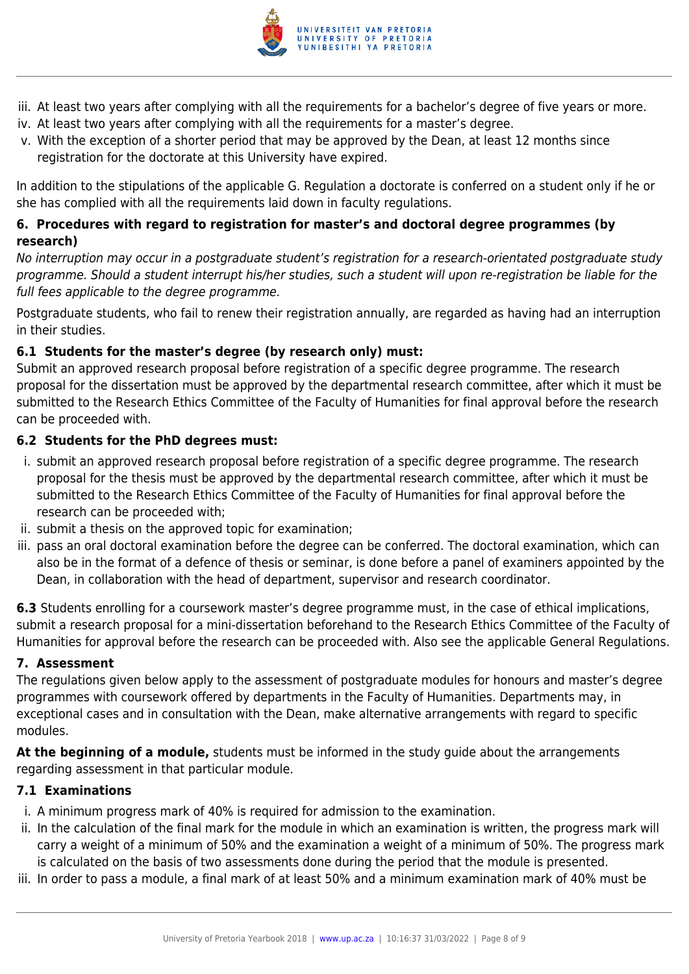

- iii. At least two years after complying with all the requirements for a bachelor's degree of five years or more.
- iv. At least two years after complying with all the requirements for a master's degree.
- v. With the exception of a shorter period that may be approved by the Dean, at least 12 months since registration for the doctorate at this University have expired.

In addition to the stipulations of the applicable G. Regulation a doctorate is conferred on a student only if he or she has complied with all the requirements laid down in faculty regulations.

# **6. Procedures with regard to registration for master's and doctoral degree programmes (by research)**

No interruption may occur in a postgraduate student's registration for a research-orientated postgraduate study programme. Should a student interrupt his/her studies, such a student will upon re-registration be liable for the full fees applicable to the degree programme.

Postgraduate students, who fail to renew their registration annually, are regarded as having had an interruption in their studies.

# **6.1 Students for the master's degree (by research only) must:**

Submit an approved research proposal before registration of a specific degree programme. The research proposal for the dissertation must be approved by the departmental research committee, after which it must be submitted to the Research Ethics Committee of the Faculty of Humanities for final approval before the research can be proceeded with.

#### **6.2 Students for the PhD degrees must:**

- i. submit an approved research proposal before registration of a specific degree programme. The research proposal for the thesis must be approved by the departmental research committee, after which it must be submitted to the Research Ethics Committee of the Faculty of Humanities for final approval before the research can be proceeded with;
- ii. submit a thesis on the approved topic for examination;
- iii. pass an oral doctoral examination before the degree can be conferred. The doctoral examination, which can also be in the format of a defence of thesis or seminar, is done before a panel of examiners appointed by the Dean, in collaboration with the head of department, supervisor and research coordinator.

**6.3** Students enrolling for a coursework master's degree programme must, in the case of ethical implications, submit a research proposal for a mini-dissertation beforehand to the Research Ethics Committee of the Faculty of Humanities for approval before the research can be proceeded with. Also see the applicable General Regulations.

#### **7. Assessment**

The regulations given below apply to the assessment of postgraduate modules for honours and master's degree programmes with coursework offered by departments in the Faculty of Humanities. Departments may, in exceptional cases and in consultation with the Dean, make alternative arrangements with regard to specific modules.

**At the beginning of a module,** students must be informed in the study guide about the arrangements regarding assessment in that particular module.

#### **7.1 Examinations**

- i. A minimum progress mark of 40% is required for admission to the examination.
- ii. In the calculation of the final mark for the module in which an examination is written, the progress mark will carry a weight of a minimum of 50% and the examination a weight of a minimum of 50%. The progress mark is calculated on the basis of two assessments done during the period that the module is presented.
- iii. In order to pass a module, a final mark of at least 50% and a minimum examination mark of 40% must be